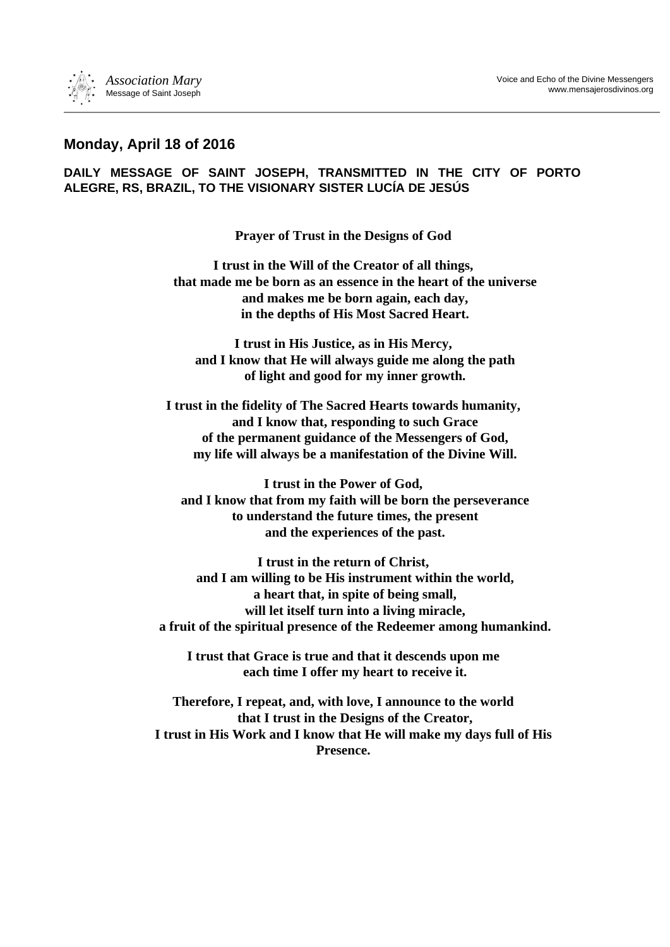## **Monday, April 18 of 2016**

**DAILY MESSAGE OF SAINT JOSEPH, TRANSMITTED IN THE CITY OF PORTO ALEGRE, RS, BRAZIL, TO THE VISIONARY SISTER LUCÍA DE JESÚS**

**Prayer of Trust in the Designs of God**

**I trust in the Will of the Creator of all things, that made me be born as an essence in the heart of the universe and makes me be born again, each day, in the depths of His Most Sacred Heart.**

**I trust in His Justice, as in His Mercy, and I know that He will always guide me along the path of light and good for my inner growth.**

**I trust in the fidelity of The Sacred Hearts towards humanity, and I know that, responding to such Grace of the permanent guidance of the Messengers of God, my life will always be a manifestation of the Divine Will.**

**I trust in the Power of God, and I know that from my faith will be born the perseverance to understand the future times, the present and the experiences of the past.**

**I trust in the return of Christ, and I am willing to be His instrument within the world, a heart that, in spite of being small, will let itself turn into a living miracle, a fruit of the spiritual presence of the Redeemer among humankind.**

**I trust that Grace is true and that it descends upon me each time I offer my heart to receive it.**

**Therefore, I repeat, and, with love, I announce to the world that I trust in the Designs of the Creator, I trust in His Work and I know that He will make my days full of His Presence.**